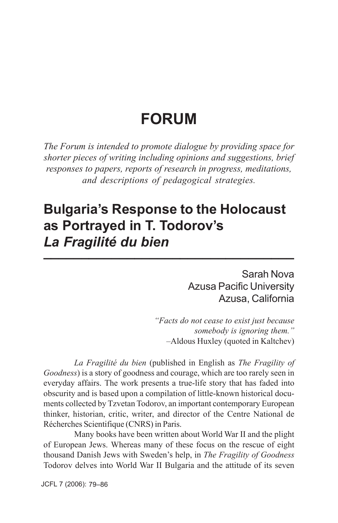# **FORUM**

*The Forum is intended to promote dialogue by providing space for shorter pieces of writing including opinions and suggestions, brief responses to papers, reports of research in progress, meditations, and descriptions of pedagogical strategies.*

## **Bulgaria's Response to the Holocaust as Portrayed in T. Todorov's** *La Fragilité du bien* **\_\_\_\_\_\_\_\_\_\_\_\_\_\_\_\_\_\_\_\_\_\_\_\_\_\_\_\_\_\_\_\_\_**

Sarah Nova Azusa Pacific University Azusa, California

*"Facts do not cease to exist just because somebody is ignoring them."* –Aldous Huxley (quoted in Kaltchev)

*La Fragilité du bien* (published in English as *The Fragility of Goodness*) is a story of goodness and courage, which are too rarely seen in everyday affairs. The work presents a true-life story that has faded into obscurity and is based upon a compilation of little-known historical documents collected by Tzvetan Todorov, an important contemporary European thinker, historian, critic, writer, and director of the Centre National de Récherches Scientifique (CNRS) in Paris.

Many books have been written about World War II and the plight of European Jews. Whereas many of these focus on the rescue of eight thousand Danish Jews with Sweden's help, in *The Fragility of Goodness* Todorov delves into World War II Bulgaria and the attitude of its seven

JCFL 7 (2006): 79–86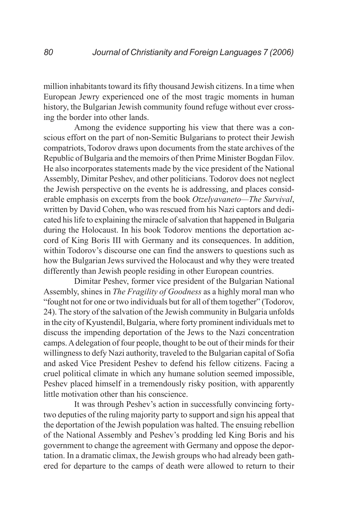million inhabitants toward its fifty thousand Jewish citizens. In a time when European Jewry experienced one of the most tragic moments in human history, the Bulgarian Jewish community found refuge without ever crossing the border into other lands.

Among the evidence supporting his view that there was a conscious effort on the part of non-Semitic Bulgarians to protect their Jewish compatriots, Todorov draws upon documents from the state archives of the Republic of Bulgaria and the memoirs of then Prime Minister Bogdan Filov. He also incorporates statements made by the vice president of the National Assembly, Dimitar Peshev, and other politicians. Todorov does not neglect the Jewish perspective on the events he is addressing, and places considerable emphasis on excerpts from the book *Otzelyavaneto—The Survival*, written by David Cohen, who was rescued from his Nazi captors and dedicated his life to explaining the miracle of salvation that happened in Bulgaria during the Holocaust. In his book Todorov mentions the deportation accord of King Boris III with Germany and its consequences. In addition, within Todorov's discourse one can find the answers to questions such as how the Bulgarian Jews survived the Holocaust and why they were treated differently than Jewish people residing in other European countries.

Dimitar Peshev, former vice president of the Bulgarian National Assembly, shines in *The Fragility of Goodness* as a highly moral man who "fought not for one or two individuals but for all of them together" (Todorov, 24). The story of the salvation of the Jewish community in Bulgaria unfolds in the city of Kyustendil, Bulgaria, where forty prominent individuals met to discuss the impending deportation of the Jews to the Nazi concentration camps. A delegation of four people, thought to be out of their minds for their willingness to defy Nazi authority, traveled to the Bulgarian capital of Sofia and asked Vice President Peshev to defend his fellow citizens. Facing a cruel political climate in which any humane solution seemed impossible, Peshev placed himself in a tremendously risky position, with apparently little motivation other than his conscience.

It was through Peshev's action in successfully convincing fortytwo deputies of the ruling majority party to support and sign his appeal that the deportation of the Jewish population was halted. The ensuing rebellion of the National Assembly and Peshev's prodding led King Boris and his government to change the agreement with Germany and oppose the deportation. In a dramatic climax, the Jewish groups who had already been gathered for departure to the camps of death were allowed to return to their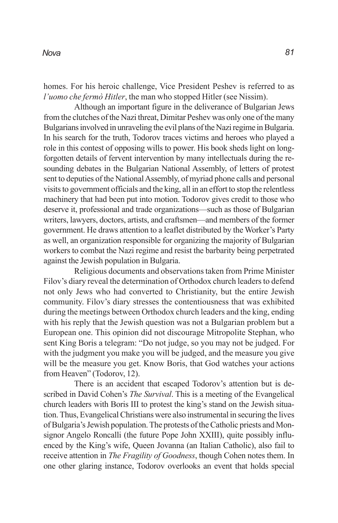homes. For his heroic challenge, Vice President Peshev is referred to as *l'uomo che fermò Hitler*, the man who stopped Hitler (see Nissim).

Although an important figure in the deliverance of Bulgarian Jews from the clutches of the Nazi threat, Dimitar Peshev was only one of the many Bulgarians involved in unraveling the evil plans of the Nazi regime in Bulgaria. In his search for the truth, Todorov traces victims and heroes who played a role in this contest of opposing wills to power. His book sheds light on longforgotten details of fervent intervention by many intellectuals during the resounding debates in the Bulgarian National Assembly, of letters of protest sent to deputies of the National Assembly, of myriad phone calls and personal visits to government officials and the king, all in an effort to stop the relentless machinery that had been put into motion. Todorov gives credit to those who deserve it, professional and trade organizations—such as those of Bulgarian writers, lawyers, doctors, artists, and craftsmen—and members of the former government. He draws attention to a leaflet distributed by the Worker's Party as well, an organization responsible for organizing the majority of Bulgarian workers to combat the Nazi regime and resist the barbarity being perpetrated against the Jewish population in Bulgaria.

Religious documents and observations taken from Prime Minister Filov's diary reveal the determination of Orthodox church leaders to defend not only Jews who had converted to Christianity, but the entire Jewish community. Filov's diary stresses the contentiousness that was exhibited during the meetings between Orthodox church leaders and the king, ending with his reply that the Jewish question was not a Bulgarian problem but a European one. This opinion did not discourage Mitropolite Stephan, who sent King Boris a telegram: "Do not judge, so you may not be judged. For with the judgment you make you will be judged, and the measure you give will be the measure you get. Know Boris, that God watches your actions from Heaven" (Todorov, 12).

There is an accident that escaped Todorov's attention but is described in David Cohen's *The Survival*. This is a meeting of the Evangelical church leaders with Boris III to protest the king's stand on the Jewish situation. Thus, Evangelical Christians were also instrumental in securing the lives of Bulgaria's Jewish population. The protests of the Catholic priests and Monsignor Angelo Roncalli (the future Pope John XXIII), quite possibly influenced by the King's wife, Queen Jovanna (an Italian Catholic), also fail to receive attention in *The Fragility of Goodness*, though Cohen notes them. In one other glaring instance, Todorov overlooks an event that holds special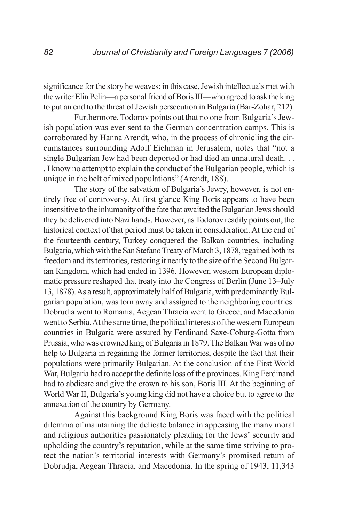significance for the story he weaves; in this case, Jewish intellectuals met with the writer Elin Pelin—a personal friend of Boris III—who agreed to ask the king to put an end to the threat of Jewish persecution in Bulgaria (Bar-Zohar, 212).

Furthermore, Todorov points out that no one from Bulgaria's Jewish population was ever sent to the German concentration camps. This is corroborated by Hanna Arendt, who, in the process of chronicling the circumstances surrounding Adolf Eichman in Jerusalem, notes that "not a single Bulgarian Jew had been deported or had died an unnatural death. . . . I know no attempt to explain the conduct of the Bulgarian people, which is unique in the belt of mixed populations" (Arendt, 188).

The story of the salvation of Bulgaria's Jewry, however, is not entirely free of controversy. At first glance King Boris appears to have been insensitive to the inhumanity of the fate that awaited the Bulgarian Jews should they be delivered into Nazi hands. However, as Todorov readily points out, the historical context of that period must be taken in consideration. At the end of the fourteenth century, Turkey conquered the Balkan countries, including Bulgaria, which with the San Stefano Treaty of March 3, 1878, regained both its freedom and its territories, restoring it nearly to the size of the Second Bulgarian Kingdom, which had ended in 1396. However, western European diplomatic pressure reshaped that treaty into the Congress of Berlin (June 13–July 13, 1878). As a result, approximately half of Bulgaria, with predominantly Bulgarian population, was torn away and assigned to the neighboring countries: Dobrudja went to Romania, Aegean Thracia went to Greece, and Macedonia went to Serbia. At the same time, the political interests of the western European countries in Bulgaria were assured by Ferdinand Saxe-Coburg-Gotta from Prussia, who was crowned king of Bulgaria in 1879. The Balkan War was of no help to Bulgaria in regaining the former territories, despite the fact that their populations were primarily Bulgarian. At the conclusion of the First World War, Bulgaria had to accept the definite loss of the provinces. King Ferdinand had to abdicate and give the crown to his son, Boris III. At the beginning of World War II, Bulgaria's young king did not have a choice but to agree to the annexation of the country by Germany.

Against this background King Boris was faced with the political dilemma of maintaining the delicate balance in appeasing the many moral and religious authorities passionately pleading for the Jews' security and upholding the country's reputation, while at the same time striving to protect the nation's territorial interests with Germany's promised return of Dobrudja, Aegean Thracia, and Macedonia. In the spring of 1943, 11,343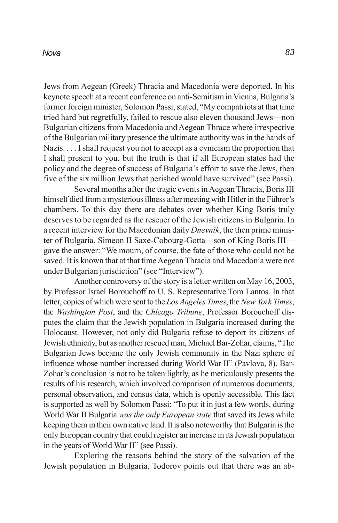#### *Nova*

Jews from Aegean (Greek) Thracia and Macedonia were deported. In his keynote speech at a recent conference on anti-Semitism in Vienna, Bulgaria's former foreign minister, Solomon Passi, stated, "My compatriots at that time tried hard but regretfully, failed to rescue also eleven thousand Jews—non Bulgarian citizens from Macedonia and Aegean Thrace where irrespective of the Bulgarian military presence the ultimate authority was in the hands of Nazis. . . . I shall request you not to accept as a cynicism the proportion that I shall present to you, but the truth is that if all European states had the policy and the degree of success of Bulgaria's effort to save the Jews, then five of the six million Jews that perished would have survived" (see Passi).

Several months after the tragic events in Aegean Thracia, Boris III himself died from a mysterious illness after meeting with Hitler in the Führer's chambers. To this day there are debates over whether King Boris truly deserves to be regarded as the rescuer of the Jewish citizens in Bulgaria. In a recent interview for the Macedonian daily *Dnevnik*, the then prime minister of Bulgaria, Simeon II Saxe-Cobourg-Gotta—son of King Boris III gave the answer: "We mourn, of course, the fate of those who could not be saved. It is known that at that time Aegean Thracia and Macedonia were not under Bulgarian jurisdiction" (see "Interview").

Another controversy of the story is a letter written on May 16, 2003, by Professor Israel Borouchoff to U. S. Representative Tom Lantos. In that letter, copies of which were sent to the *Los Angeles Times*, the *New York Times*, the *Washington Post*, and the *Chicago Tribune*, Professor Borouchoff disputes the claim that the Jewish population in Bulgaria increased during the Holocaust. However, not only did Bulgaria refuse to deport its citizens of Jewish ethnicity, but as another rescued man, Michael Bar-Zohar, claims, "The Bulgarian Jews became the only Jewish community in the Nazi sphere of influence whose number increased during World War II" (Pavlova, 8). Bar-Zohar's conclusion is not to be taken lightly, as he meticulously presents the results of his research, which involved comparison of numerous documents, personal observation, and census data, which is openly accessible. This fact is supported as well by Solomon Passi: "To put it in just a few words, during World War II Bulgaria *was the only European state* that saved its Jews while keeping them in their own native land. It is also noteworthy that Bulgaria is the only European country that could register an increase in its Jewish population in the years of World War II" (see Passi).

Exploring the reasons behind the story of the salvation of the Jewish population in Bulgaria, Todorov points out that there was an ab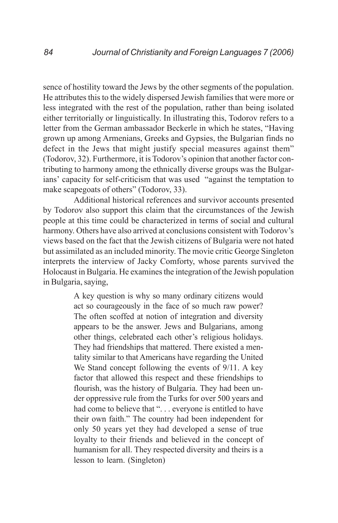sence of hostility toward the Jews by the other segments of the population. He attributes this to the widely dispersed Jewish families that were more or less integrated with the rest of the population, rather than being isolated either territorially or linguistically. In illustrating this, Todorov refers to a letter from the German ambassador Beckerle in which he states, "Having grown up among Armenians, Greeks and Gypsies, the Bulgarian finds no defect in the Jews that might justify special measures against them" (Todorov, 32). Furthermore, it is Todorov's opinion that another factor contributing to harmony among the ethnically diverse groups was the Bulgarians' capacity for self-criticism that was used "against the temptation to make scapegoats of others" (Todorov, 33).

Additional historical references and survivor accounts presented by Todorov also support this claim that the circumstances of the Jewish people at this time could be characterized in terms of social and cultural harmony. Others have also arrived at conclusions consistent with Todorov's views based on the fact that the Jewish citizens of Bulgaria were not hated but assimilated as an included minority. The movie critic George Singleton interprets the interview of Jacky Comforty, whose parents survived the Holocaust in Bulgaria. He examines the integration of the Jewish population in Bulgaria, saying,

> A key question is why so many ordinary citizens would act so courageously in the face of so much raw power? The often scoffed at notion of integration and diversity appears to be the answer. Jews and Bulgarians, among other things, celebrated each other's religious holidays. They had friendships that mattered. There existed a mentality similar to that Americans have regarding the United We Stand concept following the events of 9/11. A key factor that allowed this respect and these friendships to flourish, was the history of Bulgaria. They had been under oppressive rule from the Turks for over 500 years and had come to believe that "... everyone is entitled to have their own faith." The country had been independent for only 50 years yet they had developed a sense of true loyalty to their friends and believed in the concept of humanism for all. They respected diversity and theirs is a lesson to learn. (Singleton)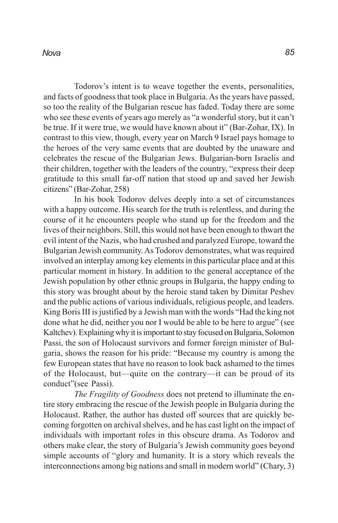#### *Nova*

Todorov's intent is to weave together the events, personalities, and facts of goodness that took place in Bulgaria. As the years have passed, so too the reality of the Bulgarian rescue has faded. Today there are some who see these events of years ago merely as "a wonderful story, but it can't be true. If it were true, we would have known about it" (Bar-Zohar, IX). In contrast to this view, though, every year on March 9 Israel pays homage to the heroes of the very same events that are doubted by the unaware and celebrates the rescue of the Bulgarian Jews. Bulgarian-born Israelis and their children, together with the leaders of the country, "express their deep gratitude to this small far-off nation that stood up and saved her Jewish citizens" (Bar-Zohar, 258)

In his book Todorov delves deeply into a set of circumstances with a happy outcome. His search for the truth is relentless, and during the course of it he encounters people who stand up for the freedom and the lives of their neighbors. Still, this would not have been enough to thwart the evil intent of the Nazis, who had crushed and paralyzed Europe, toward the Bulgarian Jewish community. As Todorov demonstrates, what was required involved an interplay among key elements in this particular place and at this particular moment in history. In addition to the general acceptance of the Jewish population by other ethnic groups in Bulgaria, the happy ending to this story was brought about by the heroic stand taken by Dimitar Peshev and the public actions of various individuals, religious people, and leaders. King Boris III is justified by a Jewish man with the words "Had the king not done what he did, neither you nor I would be able to be here to argue" (see Kaltchev). Explaining why it is important to stay focused on Bulgaria, Solomon Passi, the son of Holocaust survivors and former foreign minister of Bulgaria, shows the reason for his pride: "Because my country is among the few European states that have no reason to look back ashamed to the times of the Holocaust, but—quite on the contrary—it can be proud of its conduct"(see Passi).

*The Fragility of Goodness* does not pretend to illuminate the entire story embracing the rescue of the Jewish people in Bulgaria during the Holocaust. Rather, the author has dusted off sources that are quickly becoming forgotten on archival shelves, and he has cast light on the impact of individuals with important roles in this obscure drama. As Todorov and others make clear, the story of Bulgaria's Jewish community goes beyond simple accounts of "glory and humanity. It is a story which reveals the interconnections among big nations and small in modern world" (Chary, 3)